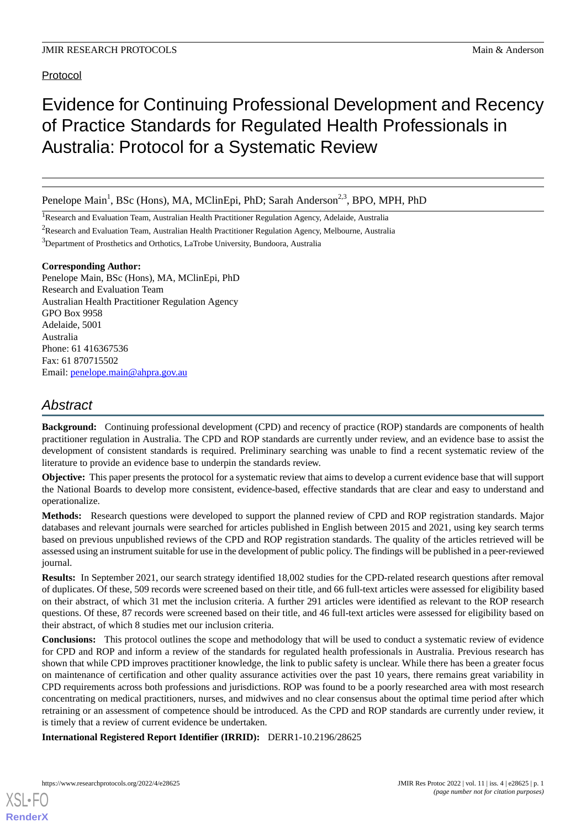## Protocol

# Evidence for Continuing Professional Development and Recency of Practice Standards for Regulated Health Professionals in Australia: Protocol for a Systematic Review

Penelope Main<sup>1</sup>, BSc (Hons), MA, MClinEpi, PhD; Sarah Anderson<sup>2,3</sup>, BPO, MPH, PhD

<sup>1</sup> Research and Evaluation Team, Australian Health Practitioner Regulation Agency, Adelaide, Australia

<sup>2</sup>Research and Evaluation Team, Australian Health Practitioner Regulation Agency, Melbourne, Australia

<sup>3</sup>Department of Prosthetics and Orthotics, LaTrobe University, Bundoora, Australia

#### **Corresponding Author:**

Penelope Main, BSc (Hons), MA, MClinEpi, PhD Research and Evaluation Team Australian Health Practitioner Regulation Agency GPO Box 9958 Adelaide, 5001 Australia Phone: 61 416367536 Fax: 61 870715502 Email: [penelope.main@ahpra.gov.au](mailto:penelope.main@ahpra.gov.au)

## *Abstract*

**Background:** Continuing professional development (CPD) and recency of practice (ROP) standards are components of health practitioner regulation in Australia. The CPD and ROP standards are currently under review, and an evidence base to assist the development of consistent standards is required. Preliminary searching was unable to find a recent systematic review of the literature to provide an evidence base to underpin the standards review.

**Objective:** This paper presents the protocol for a systematic review that aims to develop a current evidence base that will support the National Boards to develop more consistent, evidence-based, effective standards that are clear and easy to understand and operationalize.

**Methods:** Research questions were developed to support the planned review of CPD and ROP registration standards. Major databases and relevant journals were searched for articles published in English between 2015 and 2021, using key search terms based on previous unpublished reviews of the CPD and ROP registration standards. The quality of the articles retrieved will be assessed using an instrument suitable for use in the development of public policy. The findings will be published in a peer-reviewed journal.

**Results:** In September 2021, our search strategy identified 18,002 studies for the CPD-related research questions after removal of duplicates. Of these, 509 records were screened based on their title, and 66 full-text articles were assessed for eligibility based on their abstract, of which 31 met the inclusion criteria. A further 291 articles were identified as relevant to the ROP research questions. Of these, 87 records were screened based on their title, and 46 full-text articles were assessed for eligibility based on their abstract, of which 8 studies met our inclusion criteria.

**Conclusions:** This protocol outlines the scope and methodology that will be used to conduct a systematic review of evidence for CPD and ROP and inform a review of the standards for regulated health professionals in Australia. Previous research has shown that while CPD improves practitioner knowledge, the link to public safety is unclear. While there has been a greater focus on maintenance of certification and other quality assurance activities over the past 10 years, there remains great variability in CPD requirements across both professions and jurisdictions. ROP was found to be a poorly researched area with most research concentrating on medical practitioners, nurses, and midwives and no clear consensus about the optimal time period after which retraining or an assessment of competence should be introduced. As the CPD and ROP standards are currently under review, it is timely that a review of current evidence be undertaken.

**International Registered Report Identifier (IRRID):** DERR1-10.2196/28625

[XSL](http://www.w3.org/Style/XSL)•FO **[RenderX](http://www.renderx.com/)**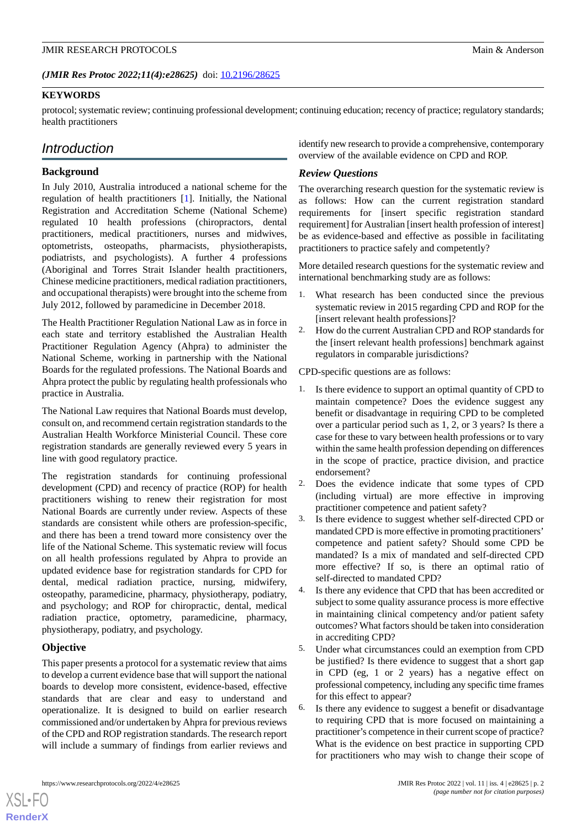*(JMIR Res Protoc 2022;11(4):e28625)* doi:  $10.2196/28625$ 

#### **KEYWORDS**

protocol; systematic review; continuing professional development; continuing education; recency of practice; regulatory standards; health practitioners

## *Introduction*

#### **Background**

In July 2010, Australia introduced a national scheme for the regulation of health practitioners [\[1](#page-5-0)]. Initially, the National Registration and Accreditation Scheme (National Scheme) regulated 10 health professions (chiropractors, dental practitioners, medical practitioners, nurses and midwives, optometrists, osteopaths, pharmacists, physiotherapists, podiatrists, and psychologists). A further 4 professions (Aboriginal and Torres Strait Islander health practitioners, Chinese medicine practitioners, medical radiation practitioners, and occupational therapists) were brought into the scheme from July 2012, followed by paramedicine in December 2018.

The Health Practitioner Regulation National Law as in force in each state and territory established the Australian Health Practitioner Regulation Agency (Ahpra) to administer the National Scheme, working in partnership with the National Boards for the regulated professions. The National Boards and Ahpra protect the public by regulating health professionals who practice in Australia.

The National Law requires that National Boards must develop, consult on, and recommend certain registration standards to the Australian Health Workforce Ministerial Council. These core registration standards are generally reviewed every 5 years in line with good regulatory practice.

The registration standards for continuing professional development (CPD) and recency of practice (ROP) for health practitioners wishing to renew their registration for most National Boards are currently under review. Aspects of these standards are consistent while others are profession-specific, and there has been a trend toward more consistency over the life of the National Scheme. This systematic review will focus on all health professions regulated by Ahpra to provide an updated evidence base for registration standards for CPD for dental, medical radiation practice, nursing, midwifery, osteopathy, paramedicine, pharmacy, physiotherapy, podiatry, and psychology; and ROP for chiropractic, dental, medical radiation practice, optometry, paramedicine, pharmacy, physiotherapy, podiatry, and psychology.

## **Objective**

[XSL](http://www.w3.org/Style/XSL)•FO **[RenderX](http://www.renderx.com/)**

This paper presents a protocol for a systematic review that aims to develop a current evidence base that will support the national boards to develop more consistent, evidence-based, effective standards that are clear and easy to understand and operationalize. It is designed to build on earlier research commissioned and/or undertaken by Ahpra for previous reviews of the CPD and ROP registration standards. The research report will include a summary of findings from earlier reviews and identify new research to provide a comprehensive, contemporary overview of the available evidence on CPD and ROP.

### *Review Questions*

The overarching research question for the systematic review is as follows: How can the current registration standard requirements for [insert specific registration standard requirement] for Australian [insert health profession of interest] be as evidence-based and effective as possible in facilitating practitioners to practice safely and competently?

More detailed research questions for the systematic review and international benchmarking study are as follows:

- 1. What research has been conducted since the previous systematic review in 2015 regarding CPD and ROP for the [insert relevant health professions]?
- 2. How do the current Australian CPD and ROP standards for the [insert relevant health professions] benchmark against regulators in comparable jurisdictions?

CPD-specific questions are as follows:

- 1. Is there evidence to support an optimal quantity of CPD to maintain competence? Does the evidence suggest any benefit or disadvantage in requiring CPD to be completed over a particular period such as 1, 2, or 3 years? Is there a case for these to vary between health professions or to vary within the same health profession depending on differences in the scope of practice, practice division, and practice endorsement?
- 2. Does the evidence indicate that some types of CPD (including virtual) are more effective in improving practitioner competence and patient safety?
- 3. Is there evidence to suggest whether self-directed CPD or mandated CPD is more effective in promoting practitioners' competence and patient safety? Should some CPD be mandated? Is a mix of mandated and self-directed CPD more effective? If so, is there an optimal ratio of self-directed to mandated CPD?
- 4. Is there any evidence that CPD that has been accredited or subject to some quality assurance process is more effective in maintaining clinical competency and/or patient safety outcomes? What factors should be taken into consideration in accrediting CPD?
- 5. Under what circumstances could an exemption from CPD be justified? Is there evidence to suggest that a short gap in CPD (eg, 1 or 2 years) has a negative effect on professional competency, including any specific time frames for this effect to appear?
- 6. Is there any evidence to suggest a benefit or disadvantage to requiring CPD that is more focused on maintaining a practitioner's competence in their current scope of practice? What is the evidence on best practice in supporting CPD for practitioners who may wish to change their scope of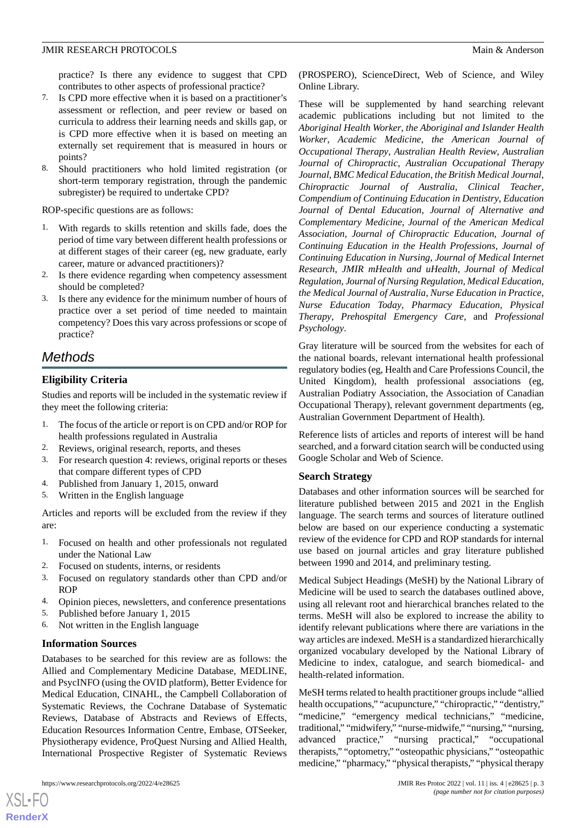practice? Is there any evidence to suggest that CPD contributes to other aspects of professional practice?

- 7. Is CPD more effective when it is based on a practitioner's assessment or reflection, and peer review or based on curricula to address their learning needs and skills gap, or is CPD more effective when it is based on meeting an externally set requirement that is measured in hours or points?
- 8. Should practitioners who hold limited registration (or short-term temporary registration, through the pandemic subregister) be required to undertake CPD?

ROP-specific questions are as follows:

- 1. With regards to skills retention and skills fade, does the period of time vary between different health professions or at different stages of their career (eg, new graduate, early career, mature or advanced practitioners)?
- 2. Is there evidence regarding when competency assessment should be completed?
- 3. Is there any evidence for the minimum number of hours of practice over a set period of time needed to maintain competency? Does this vary across professions or scope of practice?

## *Methods*

## **Eligibility Criteria**

Studies and reports will be included in the systematic review if they meet the following criteria:

- 1. The focus of the article or report is on CPD and/or ROP for health professions regulated in Australia
- 2. Reviews, original research, reports, and theses
- 3. For research question 4: reviews, original reports or theses that compare different types of CPD
- 4. Published from January 1, 2015, onward
- 5. Written in the English language

Articles and reports will be excluded from the review if they are:

- 1. Focused on health and other professionals not regulated under the National Law
- 2. Focused on students, interns, or residents
- 3. Focused on regulatory standards other than CPD and/or ROP
- 4. Opinion pieces, newsletters, and conference presentations
- 5. Published before January 1, 2015
- 6. Not written in the English language

## **Information Sources**

Databases to be searched for this review are as follows: the Allied and Complementary Medicine Database, MEDLINE, and PsycINFO (using the OVID platform), Better Evidence for Medical Education, CINAHL, the Campbell Collaboration of Systematic Reviews, the Cochrane Database of Systematic Reviews, Database of Abstracts and Reviews of Effects, Education Resources Information Centre, Embase, OTSeeker, Physiotherapy evidence, ProQuest Nursing and Allied Health, International Prospective Register of Systematic Reviews

[XSL](http://www.w3.org/Style/XSL)•FO **[RenderX](http://www.renderx.com/)**

(PROSPERO), ScienceDirect, Web of Science, and Wiley Online Library.

These will be supplemented by hand searching relevant academic publications including but not limited to the *Aboriginal Health Worker*, *the Aboriginal and Islander Health Worker*, *Academic Medicine*, *the American Journal of Occupational Therapy*, *Australian Health Review*, *Australian Journal of Chiropractic*, *Australian Occupational Therapy Journal*, *BMC Medical Education*, *the British Medical Journal*, *Chiropractic Journal of Australia*, *Clinical Teacher*, *Compendium of Continuing Education in Dentistry*, *Education Journal of Dental Education*, *Journal of Alternative and Complementary Medicine*, *Journal of the American Medical Association*, *Journal of Chiropractic Education*, *Journal of Continuing Education in the Health Professions*, *Journal of Continuing Education in Nursing*, *Journal of Medical Internet Research*, *JMIR mHealth and uHealth*, *Journal of Medical Regulation*, *Journal of Nursing Regulation*, *Medical Education*, *the Medical Journal of Australia*, *Nurse Education in Practice*, *Nurse Education Today*, *Pharmacy Education*, *Physical Therapy*, *Prehospital Emergency Care*, and *Professional Psychology*.

Gray literature will be sourced from the websites for each of the national boards, relevant international health professional regulatory bodies (eg, Health and Care Professions Council, the United Kingdom), health professional associations (eg, Australian Podiatry Association, the Association of Canadian Occupational Therapy), relevant government departments (eg, Australian Government Department of Health).

Reference lists of articles and reports of interest will be hand searched, and a forward citation search will be conducted using Google Scholar and Web of Science.

## **Search Strategy**

Databases and other information sources will be searched for literature published between 2015 and 2021 in the English language. The search terms and sources of literature outlined below are based on our experience conducting a systematic review of the evidence for CPD and ROP standards for internal use based on journal articles and gray literature published between 1990 and 2014, and preliminary testing.

Medical Subject Headings (MeSH) by the National Library of Medicine will be used to search the databases outlined above, using all relevant root and hierarchical branches related to the terms. MeSH will also be explored to increase the ability to identify relevant publications where there are variations in the way articles are indexed. MeSH is a standardized hierarchically organized vocabulary developed by the National Library of Medicine to index, catalogue, and search biomedical- and health-related information.

MeSH terms related to health practitioner groups include "allied health occupations," "acupuncture," "chiropractic," "dentistry," "medicine," "emergency medical technicians," "medicine, traditional," "midwifery," "nurse-midwife," "nursing," "nursing, advanced practice," "nursing practical," "occupational therapists," "optometry," "osteopathic physicians," "osteopathic medicine," "pharmacy," "physical therapists," "physical therapy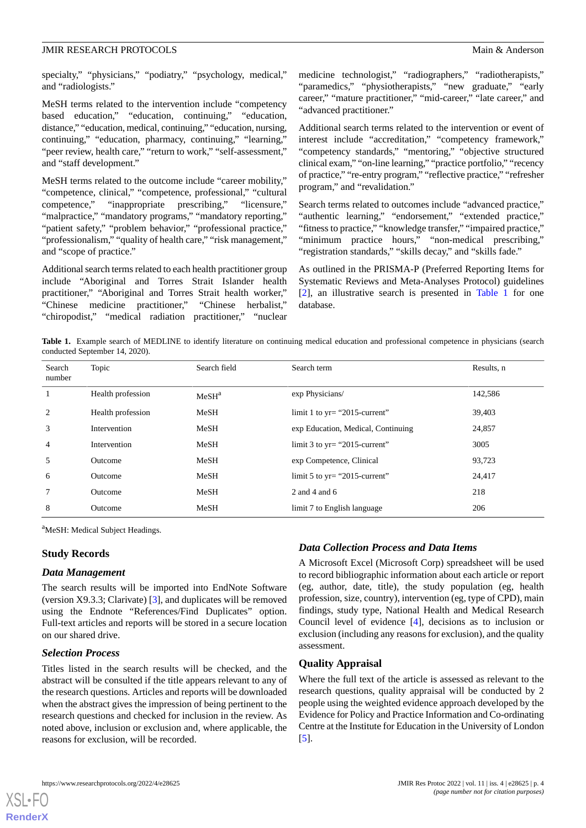specialty," "physicians," "podiatry," "psychology, medical," and "radiologists."

MeSH terms related to the intervention include "competency based education," "education, continuing," "education, distance," "education, medical, continuing," "education, nursing, continuing," "education, pharmacy, continuing," "learning," "peer review, health care," "return to work," "self-assessment," and "staff development."

MeSH terms related to the outcome include "career mobility," "competence, clinical," "competence, professional," "cultural competence," "inappropriate prescribing," "licensure," "malpractice," "mandatory programs," "mandatory reporting," "patient safety," "problem behavior," "professional practice," "professionalism," "quality of health care," "risk management," and "scope of practice."

Additional search terms related to each health practitioner group include "Aboriginal and Torres Strait Islander health practitioner," "Aboriginal and Torres Strait health worker," "Chinese medicine practitioner," "Chinese herbalist," "chiropodist," "medical radiation practitioner," "nuclear medicine technologist," "radiographers," "radiotherapists," "paramedics," "physiotherapists," "new graduate," "early career," "mature practitioner," "mid-career," "late career," and "advanced practitioner."

Additional search terms related to the intervention or event of interest include "accreditation," "competency framework," "competency standards," "mentoring," "objective structured clinical exam," "on-line learning," "practice portfolio," "recency of practice," "re-entry program," "reflective practice," "refresher program," and "revalidation."

Search terms related to outcomes include "advanced practice," "authentic learning," "endorsement," "extended practice," "fitness to practice," "knowledge transfer," "impaired practice," "minimum practice hours," "non-medical prescribing," "registration standards," "skills decay," and "skills fade."

As outlined in the PRISMA-P (Preferred Reporting Items for Systematic Reviews and Meta-Analyses Protocol) guidelines [[2\]](#page-5-1), an illustrative search is presented in [Table 1](#page-3-0) for one database.

<span id="page-3-0"></span>Table 1. Example search of MEDLINE to identify literature on continuing medical education and professional competence in physicians (search conducted September 14, 2020).

| Search<br>number | Topic             | Search field      | Search term                        | Results, n |
|------------------|-------------------|-------------------|------------------------------------|------------|
| $\mathbf{1}$     | Health profession | MeSH <sup>a</sup> | exp Physicians/                    | 142,586    |
| 2                | Health profession | MeSH              | limit 1 to $yr =$ "2015-current"   | 39,403     |
| 3                | Intervention      | MeSH              | exp Education, Medical, Continuing | 24,857     |
| $\overline{4}$   | Intervention      | MeSH              | limit 3 to $yr = "2015$ -current"  | 3005       |
| 5                | Outcome           | MeSH              | exp Competence, Clinical           | 93,723     |
| 6                | Outcome           | MeSH              | limit 5 to $yr = "2015$ -current"  | 24,417     |
| 7                | Outcome           | MeSH              | 2 and 4 and $6$                    | 218        |
| 8                | Outcome           | MeSH              | limit 7 to English language        | 206        |

<sup>a</sup>MeSH: Medical Subject Headings.

#### **Study Records**

#### *Data Management*

The search results will be imported into EndNote Software (version X9.3.3; Clarivate) [[3\]](#page-5-2), and duplicates will be removed using the Endnote "References/Find Duplicates" option. Full-text articles and reports will be stored in a secure location on our shared drive.

#### *Selection Process*

[XSL](http://www.w3.org/Style/XSL)•FO **[RenderX](http://www.renderx.com/)**

Titles listed in the search results will be checked, and the abstract will be consulted if the title appears relevant to any of the research questions. Articles and reports will be downloaded when the abstract gives the impression of being pertinent to the research questions and checked for inclusion in the review. As noted above, inclusion or exclusion and, where applicable, the reasons for exclusion, will be recorded.

#### *Data Collection Process and Data Items*

A Microsoft Excel (Microsoft Corp) spreadsheet will be used to record bibliographic information about each article or report (eg, author, date, title), the study population (eg, health profession, size, country), intervention (eg, type of CPD), main findings, study type, National Health and Medical Research Council level of evidence [\[4](#page-5-3)], decisions as to inclusion or exclusion (including any reasons for exclusion), and the quality assessment.

#### **Quality Appraisal**

Where the full text of the article is assessed as relevant to the research questions, quality appraisal will be conducted by 2 people using the weighted evidence approach developed by the Evidence for Policy and Practice Information and Co-ordinating Centre at the Institute for Education in the University of London [[5\]](#page-5-4).

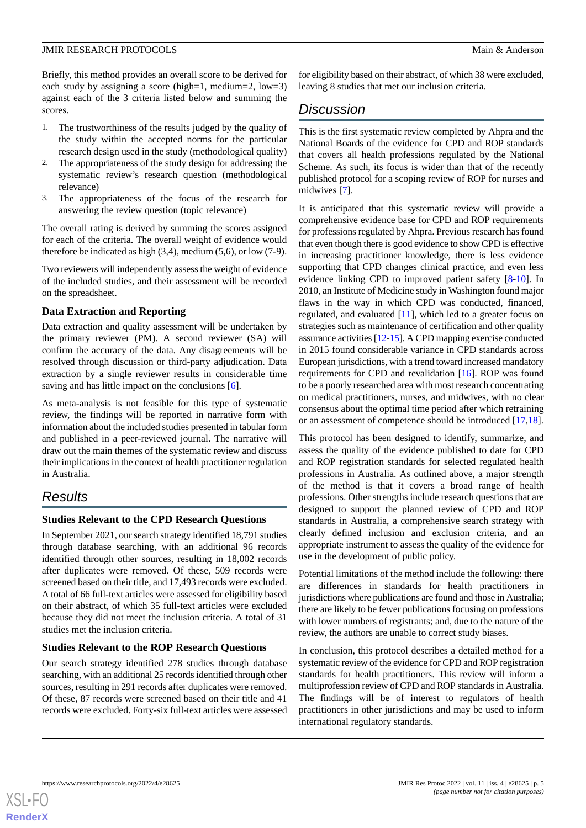Briefly, this method provides an overall score to be derived for each study by assigning a score (high=1, medium=2, low=3) against each of the 3 criteria listed below and summing the scores.

- 1. The trustworthiness of the results judged by the quality of the study within the accepted norms for the particular research design used in the study (methodological quality)
- The appropriateness of the study design for addressing the systematic review's research question (methodological relevance)
- 3. The appropriateness of the focus of the research for answering the review question (topic relevance)

The overall rating is derived by summing the scores assigned for each of the criteria. The overall weight of evidence would therefore be indicated as high (3,4), medium (5,6), or low (7-9).

Two reviewers will independently assess the weight of evidence of the included studies, and their assessment will be recorded on the spreadsheet.

#### **Data Extraction and Reporting**

Data extraction and quality assessment will be undertaken by the primary reviewer (PM). A second reviewer (SA) will confirm the accuracy of the data. Any disagreements will be resolved through discussion or third-party adjudication. Data extraction by a single reviewer results in considerable time saving and has little impact on the conclusions [\[6\]](#page-5-5).

As meta-analysis is not feasible for this type of systematic review, the findings will be reported in narrative form with information about the included studies presented in tabular form and published in a peer-reviewed journal. The narrative will draw out the main themes of the systematic review and discuss their implications in the context of health practitioner regulation in Australia.

## *Results*

## **Studies Relevant to the CPD Research Questions**

In September 2021, our search strategy identified 18,791 studies through database searching, with an additional 96 records identified through other sources, resulting in 18,002 records after duplicates were removed. Of these, 509 records were screened based on their title, and 17,493 records were excluded. A total of 66 full-text articles were assessed for eligibility based on their abstract, of which 35 full-text articles were excluded because they did not meet the inclusion criteria. A total of 31 studies met the inclusion criteria.

## **Studies Relevant to the ROP Research Questions**

Our search strategy identified 278 studies through database searching, with an additional 25 records identified through other sources, resulting in 291 records after duplicates were removed. Of these, 87 records were screened based on their title and 41 records were excluded. Forty-six full-text articles were assessed

for eligibility based on their abstract, of which 38 were excluded, leaving 8 studies that met our inclusion criteria.

## *Discussion*

This is the first systematic review completed by Ahpra and the National Boards of the evidence for CPD and ROP standards that covers all health professions regulated by the National Scheme. As such, its focus is wider than that of the recently published protocol for a scoping review of ROP for nurses and midwives [[7\]](#page-5-6).

It is anticipated that this systematic review will provide a comprehensive evidence base for CPD and ROP requirements for professions regulated by Ahpra. Previous research has found that even though there is good evidence to show CPD is effective in increasing practitioner knowledge, there is less evidence supporting that CPD changes clinical practice, and even less evidence linking CPD to improved patient safety [\[8](#page-5-7)[-10](#page-5-8)]. In 2010, an Institute of Medicine study in Washington found major flaws in the way in which CPD was conducted, financed, regulated, and evaluated [[11\]](#page-5-9), which led to a greater focus on strategies such as maintenance of certification and other quality assurance activities [\[12-](#page-5-10)[15\]](#page-5-11). A CPD mapping exercise conducted in 2015 found considerable variance in CPD standards across European jurisdictions, with a trend toward increased mandatory requirements for CPD and revalidation [[16\]](#page-5-12). ROP was found to be a poorly researched area with most research concentrating on medical practitioners, nurses, and midwives, with no clear consensus about the optimal time period after which retraining or an assessment of competence should be introduced [\[17](#page-5-13),[18\]](#page-5-14).

This protocol has been designed to identify, summarize, and assess the quality of the evidence published to date for CPD and ROP registration standards for selected regulated health professions in Australia. As outlined above, a major strength of the method is that it covers a broad range of health professions. Other strengths include research questions that are designed to support the planned review of CPD and ROP standards in Australia, a comprehensive search strategy with clearly defined inclusion and exclusion criteria, and an appropriate instrument to assess the quality of the evidence for use in the development of public policy.

Potential limitations of the method include the following: there are differences in standards for health practitioners in jurisdictions where publications are found and those in Australia; there are likely to be fewer publications focusing on professions with lower numbers of registrants; and, due to the nature of the review, the authors are unable to correct study biases.

In conclusion, this protocol describes a detailed method for a systematic review of the evidence for CPD and ROP registration standards for health practitioners. This review will inform a multiprofession review of CPD and ROP standards in Australia. The findings will be of interest to regulators of health practitioners in other jurisdictions and may be used to inform international regulatory standards.

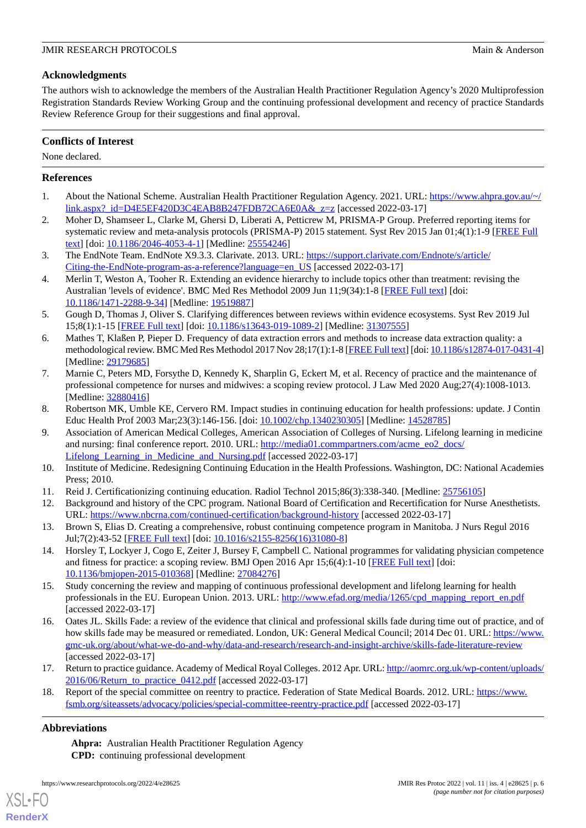## **Acknowledgments**

The authors wish to acknowledge the members of the Australian Health Practitioner Regulation Agency's 2020 Multiprofession Registration Standards Review Working Group and the continuing professional development and recency of practice Standards Review Reference Group for their suggestions and final approval.

## **Conflicts of Interest**

None declared.

## <span id="page-5-0"></span>**References**

- <span id="page-5-1"></span>1. About the National Scheme. Australian Health Practitioner Regulation Agency. 2021. URL: [https://www.ahpra.gov.au/~/](https://www.ahpra.gov.au/~/link.aspx?_id=D4E5EF420D3C4EAB8B247FDB72CA6E0A&_z=z)  $link.aspx$ ?  $id=D4E5EF420D3C4EAB8B247FDB72CA6E0A& z=z$  [accessed 2022-03-17]
- <span id="page-5-2"></span>2. Moher D, Shamseer L, Clarke M, Ghersi D, Liberati A, Petticrew M, PRISMA-P Group. Preferred reporting items for systematic review and meta-analysis protocols (PRISMA-P) 2015 statement. Syst Rev 2015 Jan 01;4(1):1-9 [[FREE Full](https://systematicreviewsjournal.biomedcentral.com/articles/10.1186/2046-4053-4-1) [text](https://systematicreviewsjournal.biomedcentral.com/articles/10.1186/2046-4053-4-1)] [doi: [10.1186/2046-4053-4-1\]](http://dx.doi.org/10.1186/2046-4053-4-1) [Medline: [25554246\]](http://www.ncbi.nlm.nih.gov/entrez/query.fcgi?cmd=Retrieve&db=PubMed&list_uids=25554246&dopt=Abstract)
- <span id="page-5-3"></span>3. The EndNote Team. EndNote X9.3.3. Clarivate. 2013. URL: [https://support.clarivate.com/Endnote/s/article/](https://support.clarivate.com/Endnote/s/article/Citing-the-EndNote-program-as-a-reference?language=en_US) [Citing-the-EndNote-program-as-a-reference?language=en\\_US](https://support.clarivate.com/Endnote/s/article/Citing-the-EndNote-program-as-a-reference?language=en_US) [accessed 2022-03-17]
- <span id="page-5-4"></span>4. Merlin T, Weston A, Tooher R. Extending an evidence hierarchy to include topics other than treatment: revising the Australian 'levels of evidence'. BMC Med Res Methodol 2009 Jun 11;9(34):1-8 [\[FREE Full text\]](https://bmcmedresmethodol.biomedcentral.com/articles/10.1186/1471-2288-9-34) [doi: [10.1186/1471-2288-9-34\]](http://dx.doi.org/10.1186/1471-2288-9-34) [Medline: [19519887\]](http://www.ncbi.nlm.nih.gov/entrez/query.fcgi?cmd=Retrieve&db=PubMed&list_uids=19519887&dopt=Abstract)
- <span id="page-5-5"></span>5. Gough D, Thomas J, Oliver S. Clarifying differences between reviews within evidence ecosystems. Syst Rev 2019 Jul 15;8(1):1-15 [[FREE Full text](https://systematicreviewsjournal.biomedcentral.com/articles/10.1186/s13643-019-1089-2)] [doi: [10.1186/s13643-019-1089-2\]](http://dx.doi.org/10.1186/s13643-019-1089-2) [Medline: [31307555](http://www.ncbi.nlm.nih.gov/entrez/query.fcgi?cmd=Retrieve&db=PubMed&list_uids=31307555&dopt=Abstract)]
- <span id="page-5-6"></span>6. Mathes T, Klaßen P, Pieper D. Frequency of data extraction errors and methods to increase data extraction quality: a methodological review. BMC Med Res Methodol 2017 Nov 28;17(1):1-8 [\[FREE Full text](https://bmcmedresmethodol.biomedcentral.com/articles/10.1186/s12874-017-0431-4)] [doi: [10.1186/s12874-017-0431-4\]](http://dx.doi.org/10.1186/s12874-017-0431-4) [Medline: [29179685](http://www.ncbi.nlm.nih.gov/entrez/query.fcgi?cmd=Retrieve&db=PubMed&list_uids=29179685&dopt=Abstract)]
- <span id="page-5-7"></span>7. Marnie C, Peters MD, Forsythe D, Kennedy K, Sharplin G, Eckert M, et al. Recency of practice and the maintenance of professional competence for nurses and midwives: a scoping review protocol. J Law Med 2020 Aug;27(4):1008-1013. [Medline: [32880416](http://www.ncbi.nlm.nih.gov/entrez/query.fcgi?cmd=Retrieve&db=PubMed&list_uids=32880416&dopt=Abstract)]
- 8. Robertson MK, Umble KE, Cervero RM. Impact studies in continuing education for health professions: update. J Contin Educ Health Prof 2003 Mar;23(3):146-156. [doi: [10.1002/chp.1340230305\]](http://dx.doi.org/10.1002/chp.1340230305) [Medline: [14528785](http://www.ncbi.nlm.nih.gov/entrez/query.fcgi?cmd=Retrieve&db=PubMed&list_uids=14528785&dopt=Abstract)]
- <span id="page-5-9"></span><span id="page-5-8"></span>9. Association of American Medical Colleges, American Association of Colleges of Nursing. Lifelong learning in medicine and nursing: final conference report. 2010. URL: [http://media01.commpartners.com/acme\\_eo2\\_docs/](http://media01.commpartners.com/acme_eo2_docs/Lifelong_Learning_in_Medicine_and_Nursing.pdf) Lifelong Learning in Medicine and Nursing.pdf [accessed 2022-03-17]
- <span id="page-5-10"></span>10. Institute of Medicine. Redesigning Continuing Education in the Health Professions. Washington, DC: National Academies Press; 2010.
- 11. Reid J. Certificationizing continuing education. Radiol Technol 2015;86(3):338-340. [Medline: [25756105](http://www.ncbi.nlm.nih.gov/entrez/query.fcgi?cmd=Retrieve&db=PubMed&list_uids=25756105&dopt=Abstract)]
- 12. Background and history of the CPC program. National Board of Certification and Recertification for Nurse Anesthetists. URL: <https://www.nbcrna.com/continued-certification/background-history> [accessed 2022-03-17]
- <span id="page-5-11"></span>13. Brown S, Elias D. Creating a comprehensive, robust continuing competence program in Manitoba. J Nurs Regul 2016 Jul;7(2):43-52 [[FREE Full text\]](https://www.journalofnursingregulation.com/article/S2155-8256(16)31080-8/pdf) [doi: [10.1016/s2155-8256\(16\)31080-8\]](http://dx.doi.org/10.1016/s2155-8256(16)31080-8)
- <span id="page-5-12"></span>14. Horsley T, Lockyer J, Cogo E, Zeiter J, Bursey F, Campbell C. National programmes for validating physician competence and fitness for practice: a scoping review. BMJ Open 2016 Apr 15;6(4):1-10 [[FREE Full text](https://bmjopen.bmj.com/lookup/pmidlookup?view=long&pmid=27084276)] [doi: [10.1136/bmjopen-2015-010368\]](http://dx.doi.org/10.1136/bmjopen-2015-010368) [Medline: [27084276](http://www.ncbi.nlm.nih.gov/entrez/query.fcgi?cmd=Retrieve&db=PubMed&list_uids=27084276&dopt=Abstract)]
- <span id="page-5-13"></span>15. Study concerning the review and mapping of continuous professional development and lifelong learning for health professionals in the EU. European Union. 2013. URL: [http://www.efad.org/media/1265/cpd\\_mapping\\_report\\_en.pdf](http://www.efad.org/media/1265/cpd_mapping_report_en.pdf) [accessed 2022-03-17]
- <span id="page-5-14"></span>16. Oates JL. Skills Fade: a review of the evidence that clinical and professional skills fade during time out of practice, and of how skills fade may be measured or remediated. London, UK: General Medical Council; 2014 Dec 01. URL: [https://www.](https://www.gmc-uk.org/about/what-we-do-and-why/data-and-research/research-and-insight-archive/skills-fade-literature-review) [gmc-uk.org/about/what-we-do-and-why/data-and-research/research-and-insight-archive/skills-fade-literature-review](https://www.gmc-uk.org/about/what-we-do-and-why/data-and-research/research-and-insight-archive/skills-fade-literature-review) [accessed 2022-03-17]
- 17. Return to practice guidance. Academy of Medical Royal Colleges. 2012 Apr. URL: [http://aomrc.org.uk/wp-content/uploads/](http://aomrc.org.uk/wp-content/uploads/2016/06/Return_to_practice_0412.pdf) [2016/06/Return\\_to\\_practice\\_0412.pdf](http://aomrc.org.uk/wp-content/uploads/2016/06/Return_to_practice_0412.pdf) [accessed 2022-03-17]
- 18. Report of the special committee on reentry to practice. Federation of State Medical Boards. 2012. URL: [https://www.](https://www.fsmb.org/siteassets/advocacy/policies/special-committee-reentry-practice.pdf) [fsmb.org/siteassets/advocacy/policies/special-committee-reentry-practice.pdf](https://www.fsmb.org/siteassets/advocacy/policies/special-committee-reentry-practice.pdf) [accessed 2022-03-17]

## **Abbreviations**

[XSL](http://www.w3.org/Style/XSL)•FO **[RenderX](http://www.renderx.com/)**

**Ahpra:** Australian Health Practitioner Regulation Agency **CPD:** continuing professional development